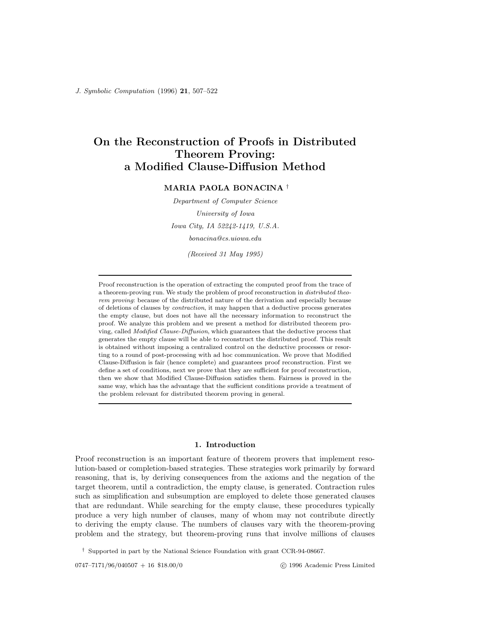# On the Reconstruction of Proofs in Distributed Theorem Proving: a Modified Clause-Diffusion Method

# MARIA PAOLA BONACINA †

Department of Computer Science University of Iowa Iowa City, IA 52242-1419, U.S.A. bonacina@cs.uiowa.edu

(Received 31 May 1995)

Proof reconstruction is the operation of extracting the computed proof from the trace of a theorem-proving run. We study the problem of proof reconstruction in distributed theorem proving: because of the distributed nature of the derivation and especially because of deletions of clauses by contraction, it may happen that a deductive process generates the empty clause, but does not have all the necessary information to reconstruct the proof. We analyze this problem and we present a method for distributed theorem proving, called Modified Clause-Diffusion, which guarantees that the deductive process that generates the empty clause will be able to reconstruct the distributed proof. This result is obtained without imposing a centralized control on the deductive processes or resorting to a round of post-processing with ad hoc communication. We prove that Modified Clause-Diffusion is fair (hence complete) and guarantees proof reconstruction. First we define a set of conditions, next we prove that they are sufficient for proof reconstruction, then we show that Modified Clause-Diffusion satisfies them. Fairness is proved in the same way, which has the advantage that the sufficient conditions provide a treatment of the problem relevant for distributed theorem proving in general.

## 1. Introduction

Proof reconstruction is an important feature of theorem provers that implement resolution-based or completion-based strategies. These strategies work primarily by forward reasoning, that is, by deriving consequences from the axioms and the negation of the target theorem, until a contradiction, the empty clause, is generated. Contraction rules such as simplification and subsumption are employed to delete those generated clauses that are redundant. While searching for the empty clause, these procedures typically produce a very high number of clauses, many of whom may not contribute directly to deriving the empty clause. The numbers of clauses vary with the theorem-proving problem and the strategy, but theorem-proving runs that involve millions of clauses

† Supported in part by the National Science Foundation with grant CCR-94-08667.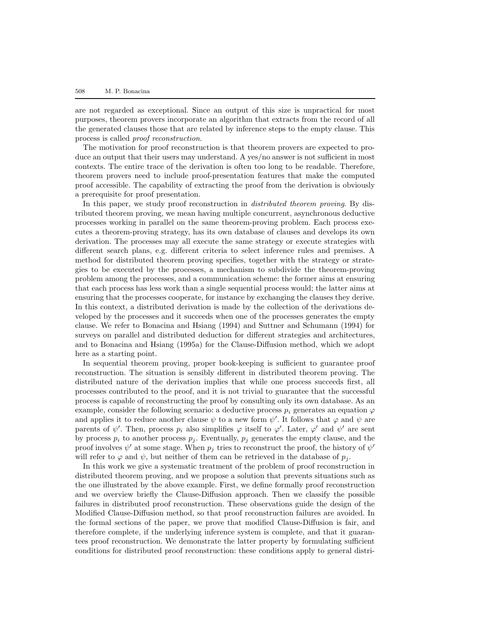are not regarded as exceptional. Since an output of this size is unpractical for most purposes, theorem provers incorporate an algorithm that extracts from the record of all the generated clauses those that are related by inference steps to the empty clause. This process is called proof reconstruction.

The motivation for proof reconstruction is that theorem provers are expected to produce an output that their users may understand. A yes/no answer is not sufficient in most contexts. The entire trace of the derivation is often too long to be readable. Therefore, theorem provers need to include proof-presentation features that make the computed proof accessible. The capability of extracting the proof from the derivation is obviously a prerequisite for proof presentation.

In this paper, we study proof reconstruction in *distributed theorem proving*. By distributed theorem proving, we mean having multiple concurrent, asynchronous deductive processes working in parallel on the same theorem-proving problem. Each process executes a theorem-proving strategy, has its own database of clauses and develops its own derivation. The processes may all execute the same strategy or execute strategies with different search plans, e.g. different criteria to select inference rules and premises. A method for distributed theorem proving specifies, together with the strategy or strategies to be executed by the processes, a mechanism to subdivide the theorem-proving problem among the processes, and a communication scheme: the former aims at ensuring that each process has less work than a single sequential process would; the latter aims at ensuring that the processes cooperate, for instance by exchanging the clauses they derive. In this context, a distributed derivation is made by the collection of the derivations developed by the processes and it succeeds when one of the processes generates the empty clause. We refer to Bonacina and Hsiang (1994) and Suttner and Schumann (1994) for surveys on parallel and distributed deduction for different strategies and architectures, and to Bonacina and Hsiang (1995a) for the Clause-Diffusion method, which we adopt here as a starting point.

In sequential theorem proving, proper book-keeping is sufficient to guarantee proof reconstruction. The situation is sensibly different in distributed theorem proving. The distributed nature of the derivation implies that while one process succeeds first, all processes contributed to the proof, and it is not trivial to guarantee that the successful process is capable of reconstructing the proof by consulting only its own database. As an example, consider the following scenario: a deductive process  $p_i$  generates an equation  $\varphi$ and applies it to reduce another clause  $\psi$  to a new form  $\psi'$ . It follows that  $\varphi$  and  $\psi$  are parents of  $\psi'$ . Then, process  $p_i$  also simplifies  $\varphi$  itself to  $\varphi'$ . Later,  $\varphi'$  and  $\psi'$  are sent by process  $p_i$  to another process  $p_j$ . Eventually,  $p_j$  generates the empty clause, and the proof involves  $\psi'$  at some stage. When  $p_j$  tries to reconstruct the proof, the history of  $\psi'$ will refer to  $\varphi$  and  $\psi$ , but neither of them can be retrieved in the database of  $p_i$ .

In this work we give a systematic treatment of the problem of proof reconstruction in distributed theorem proving, and we propose a solution that prevents situations such as the one illustrated by the above example. First, we define formally proof reconstruction and we overview briefly the Clause-Diffusion approach. Then we classify the possible failures in distributed proof reconstruction. These observations guide the design of the Modified Clause-Diffusion method, so that proof reconstruction failures are avoided. In the formal sections of the paper, we prove that modified Clause-Diffusion is fair, and therefore complete, if the underlying inference system is complete, and that it guarantees proof reconstruction. We demonstrate the latter property by formulating sufficient conditions for distributed proof reconstruction: these conditions apply to general distri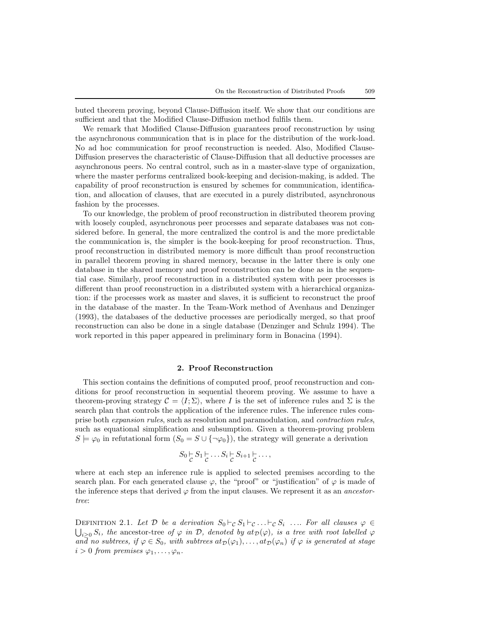buted theorem proving, beyond Clause-Diffusion itself. We show that our conditions are sufficient and that the Modified Clause-Diffusion method fulfils them.

We remark that Modified Clause-Diffusion guarantees proof reconstruction by using the asynchronous communication that is in place for the distribution of the work-load. No ad hoc communication for proof reconstruction is needed. Also, Modified Clause-Diffusion preserves the characteristic of Clause-Diffusion that all deductive processes are asynchronous peers. No central control, such as in a master-slave type of organization, where the master performs centralized book-keeping and decision-making, is added. The capability of proof reconstruction is ensured by schemes for communication, identification, and allocation of clauses, that are executed in a purely distributed, asynchronous fashion by the processes.

To our knowledge, the problem of proof reconstruction in distributed theorem proving with loosely coupled, asynchronous peer processes and separate databases was not considered before. In general, the more centralized the control is and the more predictable the communication is, the simpler is the book-keeping for proof reconstruction. Thus, proof reconstruction in distributed memory is more difficult than proof reconstruction in parallel theorem proving in shared memory, because in the latter there is only one database in the shared memory and proof reconstruction can be done as in the sequential case. Similarly, proof reconstruction in a distributed system with peer processes is different than proof reconstruction in a distributed system with a hierarchical organization: if the processes work as master and slaves, it is sufficient to reconstruct the proof in the database of the master. In the Team-Work method of Avenhaus and Denzinger (1993), the databases of the deductive processes are periodically merged, so that proof reconstruction can also be done in a single database (Denzinger and Schulz 1994). The work reported in this paper appeared in preliminary form in Bonacina (1994).

#### 2. Proof Reconstruction

This section contains the definitions of computed proof, proof reconstruction and conditions for proof reconstruction in sequential theorem proving. We assume to have a theorem-proving strategy  $\mathcal{C} = \langle I; \Sigma \rangle$ , where I is the set of inference rules and  $\Sigma$  is the search plan that controls the application of the inference rules. The inference rules comprise both expansion rules, such as resolution and paramodulation, and contraction rules, such as equational simplification and subsumption. Given a theorem-proving problem  $S \models \varphi_0$  in refutational form  $(S_0 = S \cup {\neg \varphi_0})$ , the strategy will generate a derivation

$$
S_0 \underset{\mathcal{C}}{\models} S_1 \underset{\mathcal{C}}{\models} \dots S_i \underset{\mathcal{C}}{\models} S_{i+1} \underset{\mathcal{C}}{\models} \dots,
$$

where at each step an inference rule is applied to selected premises according to the search plan. For each generated clause  $\varphi$ , the "proof" or "justification" of  $\varphi$  is made of the inference steps that derived  $\varphi$  from the input clauses. We represent it as an *ancestor*tree:

DEFINITION 2.1. Let D be a derivation  $S_0 \vdash_C S_1 \vdash_C \ldots \vdash_C S_i$  .... For all clauses  $\varphi \in$  $\bigcup_{i\geq 0} S_i$ , the ancestor-tree of  $\varphi$  in  $\mathcal{D}$ , denoted by  $at_{\mathcal{D}}(\varphi)$ , is a tree with root labelled  $\varphi$ and no subtrees, if  $\varphi \in S_0$ , with subtrees  $at_{\mathcal{D}}(\varphi_1), \ldots, at_{\mathcal{D}}(\varphi_n)$  if  $\varphi$  is generated at stage  $i > 0$  from premises  $\varphi_1, \ldots, \varphi_n$ .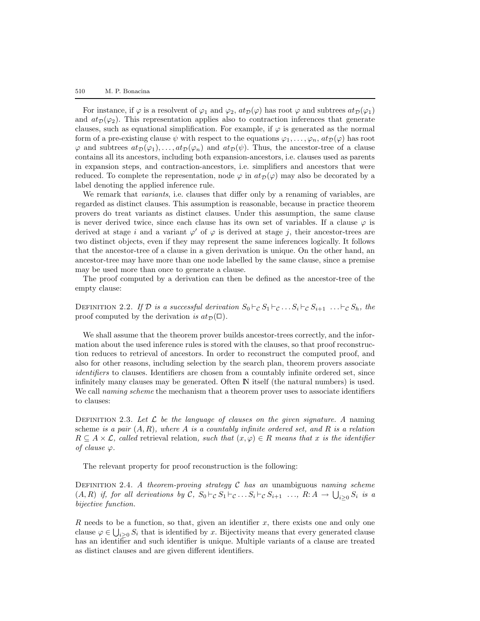For instance, if  $\varphi$  is a resolvent of  $\varphi_1$  and  $\varphi_2$ ,  $at_{\mathcal{D}}(\varphi)$  has root  $\varphi$  and subtrees  $at_{\mathcal{D}}(\varphi_1)$ and  $at_{\mathcal{D}}(\varphi_2)$ . This representation applies also to contraction inferences that generate clauses, such as equational simplification. For example, if  $\varphi$  is generated as the normal form of a pre-existing clause  $\psi$  with respect to the equations  $\varphi_1, \ldots, \varphi_n, a t_{\mathcal{D}}(\varphi)$  has root  $\varphi$  and subtrees  $at_{\mathcal{D}}(\varphi_1), \ldots, at_{\mathcal{D}}(\varphi_n)$  and  $at_{\mathcal{D}}(\psi)$ . Thus, the ancestor-tree of a clause contains all its ancestors, including both expansion-ancestors, i.e. clauses used as parents in expansion steps, and contraction-ancestors, i.e. simplifiers and ancestors that were reduced. To complete the representation, node  $\varphi$  in  $at_{\mathcal{D}}(\varphi)$  may also be decorated by a label denoting the applied inference rule.

We remark that *variants*, i.e. clauses that differ only by a renaming of variables, are regarded as distinct clauses. This assumption is reasonable, because in practice theorem provers do treat variants as distinct clauses. Under this assumption, the same clause is never derived twice, since each clause has its own set of variables. If a clause  $\varphi$  is derived at stage i and a variant  $\varphi'$  of  $\varphi$  is derived at stage j, their ancestor-trees are two distinct objects, even if they may represent the same inferences logically. It follows that the ancestor-tree of a clause in a given derivation is unique. On the other hand, an ancestor-tree may have more than one node labelled by the same clause, since a premise may be used more than once to generate a clause.

The proof computed by a derivation can then be defined as the ancestor-tree of the empty clause:

DEFINITION 2.2. If D is a successful derivation  $S_0 \vdash_c S_1 \vdash_c \ldots S_i \vdash_c S_{i+1} \ldots \vdash_c S_h$ , the proof computed by the derivation is  $at_{\mathcal{D}}(\square)$ .

We shall assume that the theorem prover builds ancestor-trees correctly, and the information about the used inference rules is stored with the clauses, so that proof reconstruction reduces to retrieval of ancestors. In order to reconstruct the computed proof, and also for other reasons, including selection by the search plan, theorem provers associate identifiers to clauses. Identifiers are chosen from a countably infinite ordered set, since infinitely many clauses may be generated. Often  $\mathbb N$  itself (the natural numbers) is used. We call naming scheme the mechanism that a theorem prover uses to associate identifiers to clauses:

DEFINITION 2.3. Let  $\mathcal L$  be the language of clauses on the given signature. A naming scheme is a pair  $(A, R)$ , where A is a countably infinite ordered set, and R is a relation  $R \subseteq A \times \mathcal{L}$ , called retrieval relation, such that  $(x, \varphi) \in R$  means that x is the identifier of clause  $\varphi$ .

The relevant property for proof reconstruction is the following:

DEFINITION 2.4. A theorem-proving strategy  $\mathcal C$  has an unambiguous naming scheme  $(A, R)$  if, for all derivations by C,  $S_0 \vdash_C S_1 \vdash_C \ldots S_i \vdash_C S_{i+1} \ldots, R: A \to \bigcup_{i \geq 0} S_i$  is a bijective function.

R needs to be a function, so that, given an identifier  $x$ , there exists one and only one clause  $\varphi \in \bigcup_{i \geq 0} S_i$  that is identified by x. Bijectivity means that every generated clause has an identifier and such identifier is unique. Multiple variants of a clause are treated as distinct clauses and are given different identifiers.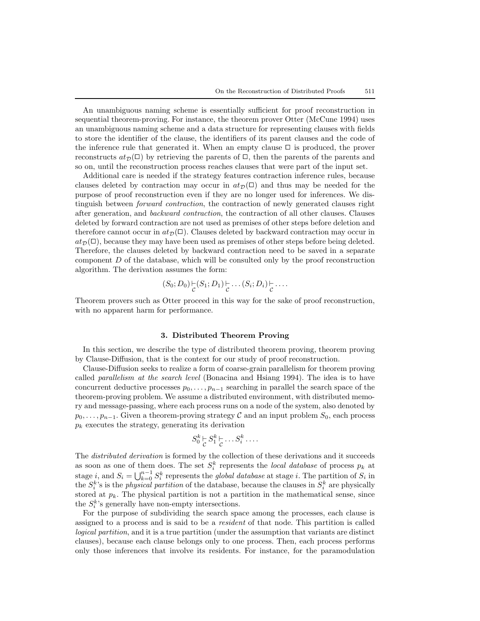An unambiguous naming scheme is essentially sufficient for proof reconstruction in sequential theorem-proving. For instance, the theorem prover Otter (McCune 1994) uses an unambiguous naming scheme and a data structure for representing clauses with fields to store the identifier of the clause, the identifiers of its parent clauses and the code of the inference rule that generated it. When an empty clause  $\Box$  is produced, the prover reconstructs  $at_{\mathcal{D}}(\square)$  by retrieving the parents of  $\square$ , then the parents of the parents and so on, until the reconstruction process reaches clauses that were part of the input set.

Additional care is needed if the strategy features contraction inference rules, because clauses deleted by contraction may occur in  $at_{\mathcal{D}}(\square)$  and thus may be needed for the purpose of proof reconstruction even if they are no longer used for inferences. We distinguish between forward contraction, the contraction of newly generated clauses right after generation, and backward contraction, the contraction of all other clauses. Clauses deleted by forward contraction are not used as premises of other steps before deletion and therefore cannot occur in  $at_{\mathcal{D}}(\Box)$ . Clauses deleted by backward contraction may occur in  $at_{\mathcal{D}}(\Box)$ , because they may have been used as premises of other steps before being deleted. Therefore, the clauses deleted by backward contraction need to be saved in a separate component  $D$  of the database, which will be consulted only by the proof reconstruction algorithm. The derivation assumes the form:

$$
(S_0; D_0) \underset{\mathcal{C}}{\vdash} (S_1; D_1) \underset{\mathcal{C}}{\vdash} \dots (S_i; D_i) \underset{\mathcal{C}}{\vdash} \dots
$$

Theorem provers such as Otter proceed in this way for the sake of proof reconstruction, with no apparent harm for performance.

# 3. Distributed Theorem Proving

In this section, we describe the type of distributed theorem proving, theorem proving by Clause-Diffusion, that is the context for our study of proof reconstruction.

Clause-Diffusion seeks to realize a form of coarse-grain parallelism for theorem proving called parallelism at the search level (Bonacina and Hsiang 1994). The idea is to have concurrent deductive processes  $p_0, \ldots, p_{n-1}$  searching in parallel the search space of the theorem-proving problem. We assume a distributed environment, with distributed memory and message-passing, where each process runs on a node of the system, also denoted by  $p_0, \ldots, p_{n-1}$ . Given a theorem-proving strategy C and an input problem  $S_0$ , each process  $p_k$  executes the strategy, generating its derivation

$$
S_0^k \underset{\mathcal{C}}{\vdash} S_1^k \underset{\mathcal{C}}{\vdash} \ldots S_i^k \ldots
$$

The *distributed derivation* is formed by the collection of these derivations and it succeeds as soon as one of them does. The set  $S_i^k$  represents the *local database* of process  $p_k$  at stage *i*, and  $S_i = \bigcup_{k=0}^{n-1} S_i^k$  represents the *global database* at stage *i*. The partition of  $S_i$  in the  $S_i^k$ 's is the *physical partition* of the database, because the clauses in  $S_i^k$  are physically stored at  $p_k$ . The physical partition is not a partition in the mathematical sense, since the  $S_i^k$ 's generally have non-empty intersections.

For the purpose of subdividing the search space among the processes, each clause is assigned to a process and is said to be a *resident* of that node. This partition is called logical partition, and it is a true partition (under the assumption that variants are distinct clauses), because each clause belongs only to one process. Then, each process performs only those inferences that involve its residents. For instance, for the paramodulation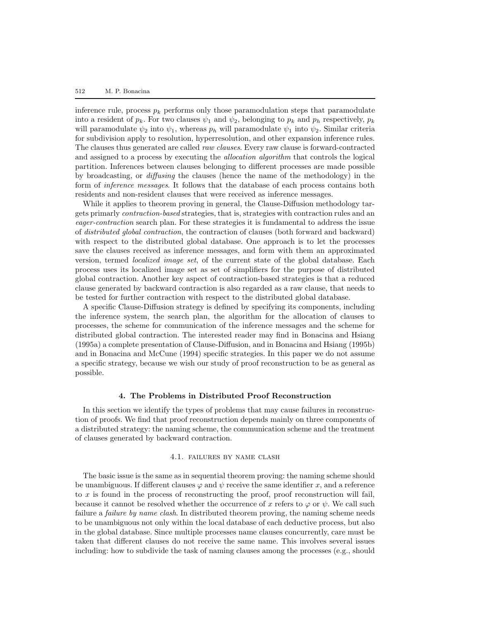inference rule, process  $p_k$  performs only those paramodulation steps that paramodulate into a resident of  $p_k$ . For two clauses  $\psi_1$  and  $\psi_2$ , belonging to  $p_k$  and  $p_h$  respectively,  $p_k$ will paramodulate  $\psi_2$  into  $\psi_1$ , whereas  $p_h$  will paramodulate  $\psi_1$  into  $\psi_2$ . Similar criteria for subdivision apply to resolution, hyperresolution, and other expansion inference rules. The clauses thus generated are called raw clauses. Every raw clause is forward-contracted and assigned to a process by executing the *allocation algorithm* that controls the logical partition. Inferences between clauses belonging to different processes are made possible by broadcasting, or diffusing the clauses (hence the name of the methodology) in the form of inference messages. It follows that the database of each process contains both residents and non-resident clauses that were received as inference messages.

While it applies to theorem proving in general, the Clause-Diffusion methodology targets primarly contraction-based strategies, that is, strategies with contraction rules and an eager-contraction search plan. For these strategies it is fundamental to address the issue of distributed global contraction, the contraction of clauses (both forward and backward) with respect to the distributed global database. One approach is to let the processes save the clauses received as inference messages, and form with them an approximated version, termed localized image set, of the current state of the global database. Each process uses its localized image set as set of simplifiers for the purpose of distributed global contraction. Another key aspect of contraction-based strategies is that a reduced clause generated by backward contraction is also regarded as a raw clause, that needs to be tested for further contraction with respect to the distributed global database.

A specific Clause-Diffusion strategy is defined by specifying its components, including the inference system, the search plan, the algorithm for the allocation of clauses to processes, the scheme for communication of the inference messages and the scheme for distributed global contraction. The interested reader may find in Bonacina and Hsiang (1995a) a complete presentation of Clause-Diffusion, and in Bonacina and Hsiang (1995b) and in Bonacina and McCune (1994) specific strategies. In this paper we do not assume a specific strategy, because we wish our study of proof reconstruction to be as general as possible.

# 4. The Problems in Distributed Proof Reconstruction

In this section we identify the types of problems that may cause failures in reconstruction of proofs. We find that proof reconstruction depends mainly on three components of a distributed strategy: the naming scheme, the communication scheme and the treatment of clauses generated by backward contraction.

# 4.1. failures by name clash

The basic issue is the same as in sequential theorem proving: the naming scheme should be unambiguous. If different clauses  $\varphi$  and  $\psi$  receive the same identifier x, and a reference to x is found in the process of reconstructing the proof, proof reconstruction will fail, because it cannot be resolved whether the occurrence of x refers to  $\varphi$  or  $\psi$ . We call such failure a *failure by name clash*. In distributed theorem proving, the naming scheme needs to be unambiguous not only within the local database of each deductive process, but also in the global database. Since multiple processes name clauses concurrently, care must be taken that different clauses do not receive the same name. This involves several issues including: how to subdivide the task of naming clauses among the processes (e.g., should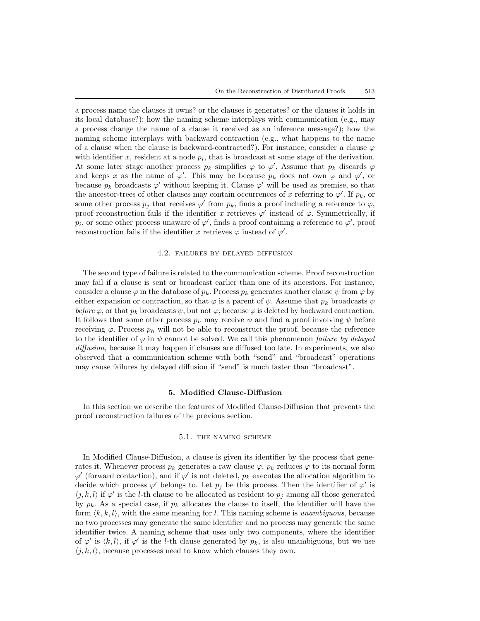a process name the clauses it owns? or the clauses it generates? or the clauses it holds in its local database?); how the naming scheme interplays with communication (e.g., may a process change the name of a clause it received as an inference message?); how the naming scheme interplays with backward contraction (e.g., what happens to the name of a clause when the clause is backward-contracted?). For instance, consider a clause  $\varphi$ with identifier x, resident at a node  $p_i$ , that is broadcast at some stage of the derivation. At some later stage another process  $p_k$  simplifies  $\varphi$  to  $\varphi'$ . Assume that  $p_k$  discards  $\varphi$ and keeps x as the name of  $\varphi'$ . This may be because  $p_k$  does not own  $\varphi$  and  $\varphi'$ , or because  $p_k$  broadcasts  $\varphi'$  without keeping it. Clause  $\varphi'$  will be used as premise, so that the ancestor-trees of other clauses may contain occurrences of x referring to  $\varphi'$ . If  $p_k$ , or some other process  $p_j$  that receives  $\varphi'$  from  $p_k$ , finds a proof including a reference to  $\varphi$ , proof reconstruction fails if the identifier x retrieves  $\varphi'$  instead of  $\varphi$ . Symmetrically, if  $p_i$ , or some other process unaware of  $\varphi'$ , finds a proof containing a reference to  $\varphi'$ , proof reconstruction fails if the identifier x retrieves  $\varphi$  instead of  $\varphi'$ .

## 4.2. failures by delayed diffusion

The second type of failure is related to the communication scheme. Proof reconstruction may fail if a clause is sent or broadcast earlier than one of its ancestors. For instance, consider a clause  $\varphi$  in the database of  $p_k$ . Process  $p_k$  generates another clause  $\psi$  from  $\varphi$  by either expansion or contraction, so that  $\varphi$  is a parent of  $\psi$ . Assume that  $p_k$  broadcasts  $\psi$ before  $\varphi$ , or that  $p_k$  broadcasts  $\psi$ , but not  $\varphi$ , because  $\varphi$  is deleted by backward contraction. It follows that some other process  $p_h$  may receive  $\psi$  and find a proof involving  $\psi$  before receiving  $\varphi$ . Process  $p_h$  will not be able to reconstruct the proof, because the reference to the identifier of  $\varphi$  in  $\psi$  cannot be solved. We call this phenomenon *failure by delayed* diffusion, because it may happen if clauses are diffused too late. In experiments, we also observed that a communication scheme with both "send" and "broadcast" operations may cause failures by delayed diffusion if "send" is much faster than "broadcast".

## 5. Modified Clause-Diffusion

In this section we describe the features of Modified Clause-Diffusion that prevents the proof reconstruction failures of the previous section.

#### 5.1. the naming scheme

In Modified Clause-Diffusion, a clause is given its identifier by the process that generates it. Whenever process  $p_k$  generates a raw clause  $\varphi$ ,  $p_k$  reduces  $\varphi$  to its normal form  $\varphi'$  (forward contaction), and if  $\varphi'$  is not deleted,  $p_k$  executes the allocation algorithm to decide which process  $\varphi'$  belongs to. Let  $p_j$  be this process. Then the identifier of  $\varphi'$  is  $\langle j, k, l \rangle$  if  $\varphi'$  is the *l*-th clause to be allocated as resident to  $p_j$  among all those generated by  $p_k$ . As a special case, if  $p_k$  allocates the clause to itself, the identifier will have the form  $\langle k, k, l \rangle$ , with the same meaning for l. This naming scheme is unambiguous, because no two processes may generate the same identifier and no process may generate the same identifier twice. A naming scheme that uses only two components, where the identifier of  $\varphi'$  is  $\langle k, l \rangle$ , if  $\varphi'$  is the *l*-th clause generated by  $p_k$ , is also unambiguous, but we use  $\langle j, k, l \rangle$ , because processes need to know which clauses they own.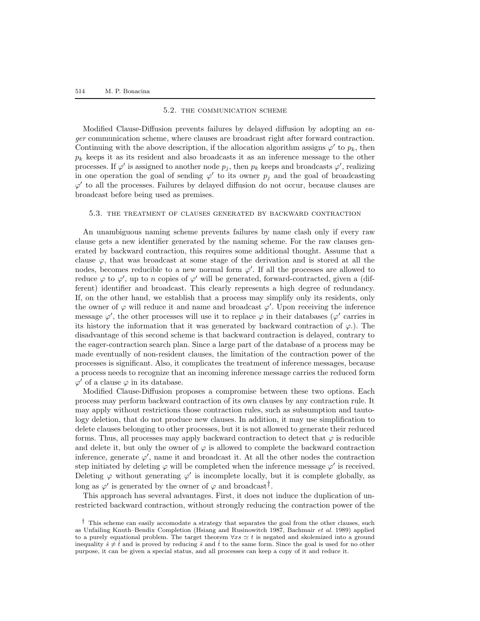#### 5.2. the communication scheme

Modified Clause-Diffusion prevents failures by delayed diffusion by adopting an eager communication scheme, where clauses are broadcast right after forward contraction. Continuing with the above description, if the allocation algorithm assigns  $\varphi'$  to  $p_k$ , then  $p_k$  keeps it as its resident and also broadcasts it as an inference message to the other processes. If  $\varphi'$  is assigned to another node  $p_j$ , then  $p_k$  keeps and broadcasts  $\varphi'$ , realizing in one operation the goal of sending  $\varphi'$  to its owner  $p_j$  and the goal of broadcasting  $\varphi'$  to all the processes. Failures by delayed diffusion do not occur, because clauses are broadcast before being used as premises.

#### 5.3. the treatment of clauses generated by backward contraction

An unambiguous naming scheme prevents failures by name clash only if every raw clause gets a new identifier generated by the naming scheme. For the raw clauses generated by backward contraction, this requires some additional thought. Assume that a clause  $\varphi$ , that was broadcast at some stage of the derivation and is stored at all the nodes, becomes reducible to a new normal form  $\varphi'$ . If all the processes are allowed to reduce  $\varphi$  to  $\varphi'$ , up to n copies of  $\varphi'$  will be generated, forward-contracted, given a (different) identifier and broadcast. This clearly represents a high degree of redundancy. If, on the other hand, we establish that a process may simplify only its residents, only the owner of  $\varphi$  will reduce it and name and broadcast  $\varphi'$ . Upon receiving the inference message  $\varphi'$ , the other processes will use it to replace  $\varphi$  in their databases ( $\varphi'$  carries in its history the information that it was generated by backward contraction of  $\varphi$ .). The disadvantage of this second scheme is that backward contraction is delayed, contrary to the eager-contraction search plan. Since a large part of the database of a process may be made eventually of non-resident clauses, the limitation of the contraction power of the processes is significant. Also, it complicates the treatment of inference messages, because a process needs to recognize that an incoming inference message carries the reduced form  $\varphi'$  of a clause  $\varphi$  in its database.

Modified Clause-Diffusion proposes a compromise between these two options. Each process may perform backward contraction of its own clauses by any contraction rule. It may apply without restrictions those contraction rules, such as subsumption and tautology deletion, that do not produce new clauses. In addition, it may use simplification to delete clauses belonging to other processes, but it is not allowed to generate their reduced forms. Thus, all processes may apply backward contraction to detect that  $\varphi$  is reducible and delete it, but only the owner of  $\varphi$  is allowed to complete the backward contraction inference, generate  $\varphi'$ , name it and broadcast it. At all the other nodes the contraction step initiated by deleting  $\varphi$  will be completed when the inference message  $\varphi'$  is received. Deleting  $\varphi$  without generating  $\varphi'$  is incomplete locally, but it is complete globally, as long as  $\varphi'$  is generated by the owner of  $\varphi$  and broadcast<sup>†</sup>.

This approach has several advantages. First, it does not induce the duplication of unrestricted backward contraction, without strongly reducing the contraction power of the

<sup>†</sup> This scheme can easily accomodate a strategy that separates the goal from the other clauses, such as Unfailing Knuth–Bendix Completion (Hsiang and Rusinowitch 1987, Bachmair et al. 1989) applied to a purely equational problem. The target theorem  $\forall xs \simeq t$  is negated and skolemized into a ground inequality  $\hat{s} \neq \hat{t}$  and is proved by reducing  $\hat{s}$  and  $\hat{t}$  to the same form. Since the goal is used for no other purpose, it can be given a special status, and all processes can keep a copy of it and reduce it.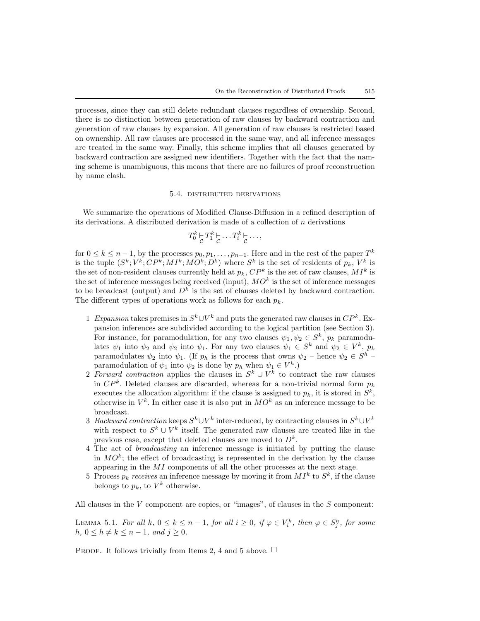processes, since they can still delete redundant clauses regardless of ownership. Second, there is no distinction between generation of raw clauses by backward contraction and generation of raw clauses by expansion. All generation of raw clauses is restricted based on ownership. All raw clauses are processed in the same way, and all inference messages are treated in the same way. Finally, this scheme implies that all clauses generated by backward contraction are assigned new identifiers. Together with the fact that the naming scheme is unambiguous, this means that there are no failures of proof reconstruction by name clash.

## 5.4. distributed derivations

We summarize the operations of Modified Clause-Diffusion in a refined description of its derivations. A distributed derivation is made of a collection of  $n$  derivations

$$
T_0^k \underset{\mathcal{C}}{\vdash} T_1^k \underset{\mathcal{C}}{\vdash} \ldots T_i^k \underset{\mathcal{C}}{\vdash} \ldots,
$$

for  $0 \leq k \leq n-1$ , by the processes  $p_0, p_1, \ldots, p_{n-1}$ . Here and in the rest of the paper  $T^k$ is the tuple  $(S^k; V^k; CP^k; MI^k; MO^k; D^k)$  where  $S^k$  is the set of residents of  $p_k$ ,  $V^k$  is the set of non-resident clauses currently held at  $p_k$ ,  $\mathbb{CP}^k$  is the set of raw clauses,  $MI^k$  is the set of inference messages being received (input),  $MO^k$  is the set of inference messages to be broadcast (output) and  $D^k$  is the set of clauses deleted by backward contraction. The different types of operations work as follows for each  $p_k$ .

- 1 Expansion takes premises in  $S^k \cup V^k$  and puts the generated raw clauses in  $\mathbb{CP}^k$ . Expansion inferences are subdivided according to the logical partition (see Section 3). For instance, for paramodulation, for any two clauses  $\psi_1, \psi_2 \in S^k$ ,  $p_k$  paramodulates  $\psi_1$  into  $\psi_2$  and  $\psi_2$  into  $\psi_1$ . For any two clauses  $\psi_1 \in S^k$  and  $\psi_2 \in V^k$ ,  $p_k$ paramodulates  $\psi_2$  into  $\psi_1$ . (If  $p_h$  is the process that owns  $\psi_2$  – hence  $\psi_2 \in S^h$  – paramodulation of  $\psi_1$  into  $\psi_2$  is done by  $p_h$  when  $\psi_1 \in V^h$ .)
- 2 Forward contraction applies the clauses in  $S^k \cup V^k$  to contract the raw clauses in  $\mathbb{CP}^k$ . Deleted clauses are discarded, whereas for a non-trivial normal form  $p_k$ executes the allocation algorithm: if the clause is assigned to  $p_k$ , it is stored in  $S^k$ , otherwise in  $V^k$ . In either case it is also put in  $MO^k$  as an inference message to be broadcast.
- 3 Backward contraction keeps  $S^k \cup V^k$  inter-reduced, by contracting clauses in  $S^k \cup V^k$ with respect to  $S^k \cup V^k$  itself. The generated raw clauses are treated like in the previous case, except that deleted clauses are moved to  $D^k$ .
- 4 The act of broadcasting an inference message is initiated by putting the clause in  $MO^k$ ; the effect of broadcasting is represented in the derivation by the clause appearing in the MI components of all the other processes at the next stage.
- 5 Process  $p_k$  receives an inference message by moving it from  $MI^k$  to  $S^k$ , if the clause belongs to  $p_k$ , to  $V^k$  otherwise.

All clauses in the  $V$  component are copies, or "images", of clauses in the  $S$  component:

LEMMA 5.1. For all  $k, 0 \leq k \leq n-1$ , for all  $i \geq 0$ , if  $\varphi \in V_i^k$ , then  $\varphi \in S_j^h$ , for some  $h, 0 \le h \ne k \le n - 1$ , and  $j \ge 0$ .

PROOF. It follows trivially from Items 2, 4 and 5 above.  $\Box$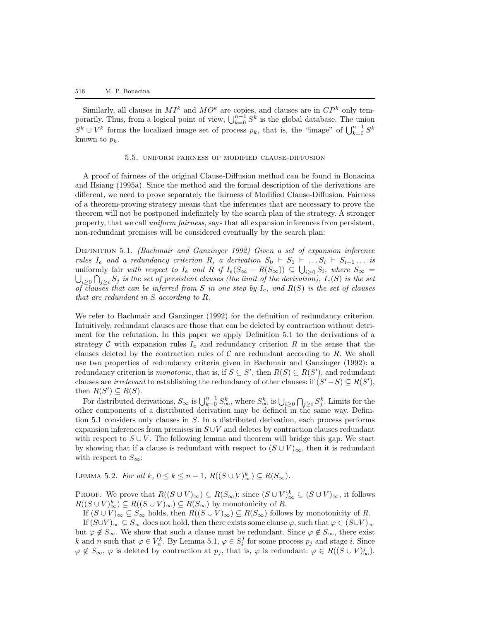Similarly, all clauses in  $MI^k$  and  $MO^k$  are copies, and clauses are in  $CP^k$  only temporarily. Thus, from a logical point of view,  $\bigcup_{k=0}^{n-1} S^k$  is the global database. The union  $S^k \cup V^k$  forms the localized image set of process  $p_k$ , that is, the "image" of  $\bigcup_{k=0}^{n-1} S^k$ known to  $p_k$ .

#### 5.5. uniform fairness of modified clause-diffusion

A proof of fairness of the original Clause-Diffusion method can be found in Bonacina and Hsiang (1995a). Since the method and the formal description of the derivations are different, we need to prove separately the fairness of Modified Clause-Diffusion. Fairness of a theorem-proving strategy means that the inferences that are necessary to prove the theorem will not be postponed indefinitely by the search plan of the strategy. A stronger property, that we call uniform fairness, says that all expansion inferences from persistent, non-redundant premises will be considered eventually by the search plan:

DEFINITION 5.1. *(Bachmair and Ganzinger 1992) Given a set of expansion inference* rules  $I_e$  and a redundancy criterion R, a derivation  $S_0 \vdash S_1 \vdash \ldots S_i \vdash S_{i+1} \ldots$  is uniformly fair with respect to  $I_e$  and R if  $I_e(S_{\infty} - R(S_{\infty})) \subseteq \bigcup_{i \geq 0} S_i$ , where  $S_{\infty} = \bigcup_{i \geq 0} \bigcap_{j \geq i} S_j$  is the set of persistent clauses (the limit of the derivation),  $I_e(S)$  is the set of clauses that can be inferred from S in one step by  $I_e$ , and  $R(S)$  is the set of clauses that are redundant in S according to R.

We refer to Bachmair and Ganzinger (1992) for the definition of redundancy criterion. Intuitively, redundant clauses are those that can be deleted by contraction without detriment for the refutation. In this paper we apply Definition 5.1 to the derivations of a strategy  $\mathcal C$  with expansion rules  $I_e$  and redundancy criterion  $R$  in the sense that the clauses deleted by the contraction rules of  $\mathcal C$  are redundant according to R. We shall use two properties of redundancy criteria given in Bachmair and Ganzinger (1992): a redundancy criterion is *monotonic*, that is, if  $S \subseteq S'$ , then  $R(S) \subseteq R(S')$ , and redundant clauses are *irrelevant* to establishing the redundancy of other clauses: if  $(S'-S) \subseteq R(S')$ , then  $R(S') \subseteq R(S)$ .

For distributed derivations,  $S_{\infty}$  is  $\bigcup_{k=0}^{n-1} S_{\infty}^k$ , where  $S_{\infty}^k$  is  $\bigcup_{i\geq 0} \bigcap_{j\geq i} S_j^k$ . Limits for the other components of a distributed derivation may be defined in the same way. Definition 5.1 considers only clauses in S. In a distributed derivation, each process performs expansion inferences from premises in  $S\cup V$  and deletes by contraction clauses redundant with respect to  $S \cup V$ . The following lemma and theorem will bridge this gap. We start by showing that if a clause is redundant with respect to  $(S \cup V)_{\infty}$ , then it is redundant with respect to  $S_{\infty}$ :

LEMMA 5.2. For all  $k, 0 \le k \le n-1$ ,  $R((S \cup V)_{\infty}^k) \subseteq R(S_{\infty})$ .

PROOF. We prove that  $R((S \cup V)_{\infty}) \subseteq R(S_{\infty})$ : since  $(S \cup V)_{\infty}^{k} \subseteq (S \cup V)_{\infty}$ , it follows  $R((S \cup V)_{\infty}^k) \subseteq R((S \cup V)_{\infty}) \subseteq R(S_{\infty})$  by monotonicity of R.

If  $(S \cup V)_{\infty} \subseteq S_{\infty}$  holds, then  $R((S \cup V)_{\infty}) \subseteq R(S_{\infty})$  follows by monotonicity of R.

If  $(S\cup V)_{\infty} \subseteq S_{\infty}$  does not hold, then there exists some clause  $\varphi$ , such that  $\varphi \in (S\cup V)_{\infty}$ but  $\varphi \notin S_{\infty}$ . We show that such a clause must be redundant. Since  $\varphi \notin S_{\infty}$ , there exist k and n such that  $\varphi \in V_n^k$ . By Lemma 5.1,  $\varphi \in S_i^j$  for some process  $p_j$  and stage i. Since  $\varphi \notin S_{\infty}$ ,  $\varphi$  is deleted by contraction at  $p_j$ , that is,  $\varphi$  is redundant:  $\varphi \in R((S \cup V)_{\infty}^j)$ .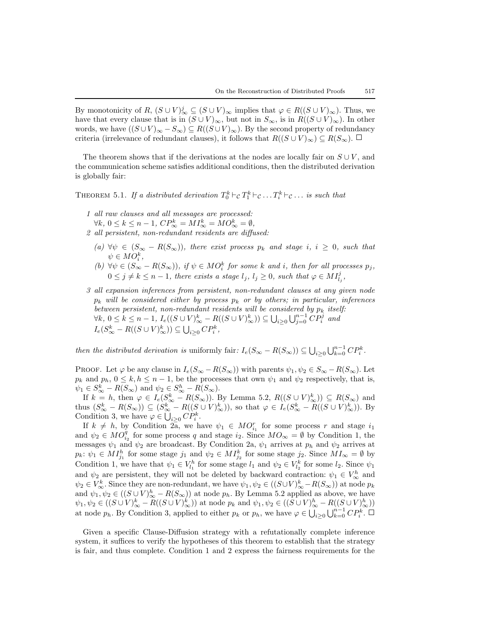By monotonicity of  $R$ ,  $(S \cup V)_{\infty}^{j} \subseteq (S \cup V)_{\infty}$  implies that  $\varphi \in R((S \cup V)_{\infty})$ . Thus, we have that every clause that is in  $(S \cup V)_{\infty}$ , but not in  $S_{\infty}$ , is in  $R((S \cup V)_{\infty})$ . In other words, we have  $((S \cup V)_{\infty} - S_{\infty}) \subseteq R((S \cup V)_{\infty})$ . By the second property of redundancy criteria (irrelevance of redundant clauses), it follows that  $R((S \cup V)_{\infty}) \subseteq R(S_{\infty}).$ 

The theorem shows that if the derivations at the nodes are locally fair on  $S \cup V$ , and the communication scheme satisfies additional conditions, then the distributed derivation is globally fair:

THEOREM 5.1. If a distributed derivation  $T_0^k \vdash_{\mathcal{C}} T_1^k \vdash_{\mathcal{C}} \ldots T_i^k \vdash_{\mathcal{C}} \ldots$  is such that

- 1 all raw clauses and all messages are processed:  $\forall k, 0 \leq k \leq n-1, CP^k_{\infty} = MI^k_{\infty} = MO^k_{\infty} = \emptyset,$
- 2 all persistent, non-redundant residents are diffused:
	- (a)  $\forall \psi \in (S_{\infty} R(S_{\infty}))$ , there exist process  $p_k$  and stage i,  $i \geq 0$ , such that  $\psi \in MO_i^k,$
	- (b)  $\forall \psi \in (S_{\infty} R(S_{\infty}))$ , if  $\psi \in MO_i^k$  for some k and i, then for all processes  $p_j$ ,  $0 \leq j \neq k \leq n-1$ , there exists a stage  $l_j, l_j \geq 0$ , such that  $\varphi \in MI_{l_j}^j$ ,
- 3 all expansion inferences from persistent, non-redundant clauses at any given node  $p_k$  will be considered either by process  $p_k$  or by others; in particular, inferences between persistent, non-redundant residents will be considered by  $p_k$  itself:  $\forall k, 0 \leq k \leq n-1, I_e((S \cup V)_{\infty}^k - R((S \cup V)_{\infty}^k)) \subseteq \bigcup_{i \geq 0} \bigcup_{j=0}^{n-1} CP_i^j$  and  $I_e(S^k_{\infty}-R((S\cup V)^k_{\infty}))\subseteq \bigcup_{i\geq 0} CP^k_i,$

then the distributed derivation is uniformly fair:  $I_e(S_{\infty} - R(S_{\infty})) \subseteq \bigcup_{i \geq 0} \bigcup_{k=0}^{n-1} CP_i^k$ .

PROOF. Let  $\varphi$  be any clause in  $I_e(S_{\infty} - R(S_{\infty}))$  with parents  $\psi_1, \psi_2 \in S_{\infty} - R(S_{\infty})$ . Let  $p_k$  and  $p_h$ ,  $0 \le k, h \le n-1$ , be the processes that own  $\psi_1$  and  $\psi_2$  respectively, that is,  $\psi_1 \in S^k_{\infty} - R(S_{\infty})$  and  $\psi_2 \in S^h_{\infty} - R(S_{\infty})$ .

If  $k = h$ , then  $\varphi \in I_e(S^k_{\infty} - R(S_{\infty}))$ . By Lemma 5.2,  $R((S \cup V)^k_{\infty}) \subseteq R(S_{\infty})$  and thus  $(S_{\infty}^k - R(S_{\infty})) \subseteq (S_{\infty}^k - R((S \cup V)_{\infty}^k))$ , so that  $\varphi \in I_e(S_{\infty}^k - R((S \cup V)_{\infty}^k))$ . By Condition 3, we have  $\varphi \in \bigcup_{i \geq 0} CP_i^k$ .

If  $k \neq h$ , by Condition  $2a$ , we have  $\psi_1 \in MO_{i_1}^r$  for some process r and stage  $i_1$ and  $\psi_2 \in MO_{i_2}^q$  for some process q and stage  $i_2$ . Since  $MO_{\infty} = \emptyset$  by Condition 1, the messages  $\psi_1$  and  $\psi_2$  are broadcast. By Condition 2a,  $\psi_1$  arrives at  $p_h$  and  $\psi_2$  arrives at  $p_k: \psi_1 \in MI_{j_1}^h$  for some stage  $j_1$  and  $\psi_2 \in MI_{j_2}^k$  for some stage  $j_2$ . Since  $MI_{\infty} = \emptyset$  by Condition 1, we have that  $\psi_1 \in V_{l_1}^h$  for some stage  $l_1$  and  $\psi_2 \in V_{l_2}^k$  for some  $l_2$ . Since  $\psi_1$ and  $\psi_2$  are persistent, they will not be deleted by backward contraction:  $\psi_1 \in V^h_{\infty}$  and  $\psi_2 \in V^k_{\infty}$ . Since they are non-redundant, we have  $\psi_1, \psi_2 \in ((S \cup V)^k_{\infty} - R(S_{\infty}))$  at node  $p_k$ and  $\psi_1, \psi_2 \in ((S \cup V)_{\infty}^h - R(S_{\infty}))$  at node  $p_h$ . By Lemma 5.2 applied as above, we have  $\psi_1, \psi_2 \in ((S \cup V)_{\infty}^k - R((S \cup V)_{\infty}^k))$  at node  $p_k$  and  $\psi_1, \psi_2 \in ((S \cup V)_{\infty}^h - R((S \cup V)_{\infty}^k))$ at node  $p_h$ . By Condition 3, applied to either  $p_k$  or  $p_h$ , we have  $\varphi \in \bigcup_{i\geq 0} \bigcup_{k=0}^{n-1} CP_i^k$ .

Given a specific Clause-Diffusion strategy with a refutationally complete inference system, it suffices to verify the hypotheses of this theorem to establish that the strategy is fair, and thus complete. Condition 1 and 2 express the fairness requirements for the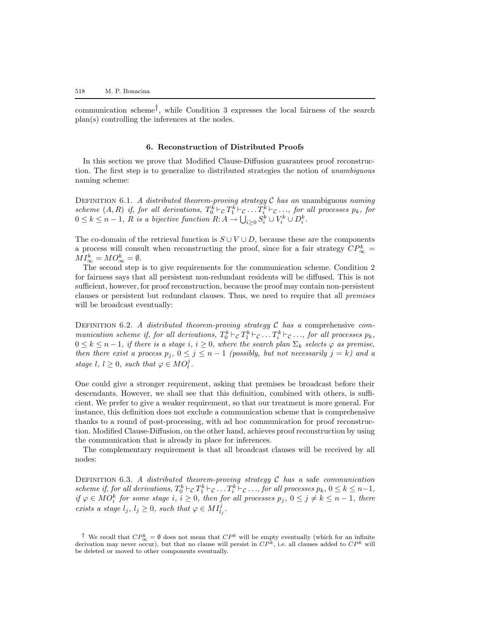communication scheme† , while Condition 3 expresses the local fairness of the search plan(s) controlling the inferences at the nodes.

#### 6. Reconstruction of Distributed Proofs

In this section we prove that Modified Clause-Diffusion guarantees proof reconstruction. The first step is to generalize to distributed strategies the notion of unambiguous naming scheme:

DEFINITION 6.1. A distributed theorem-proving strategy  $\mathcal C$  has an unambiguous naming scheme  $(A, R)$  if, for all derivations,  $T_0^k \vdash_{\mathcal{C}} T_1^k \vdash_{\mathcal{C}} \ldots T_i^k \vdash_{\mathcal{C}} \ldots$ , for all processes  $p_k$ , for  $0 \leq k \leq n-1$ , R is a bijective function  $R: A \to \bigcup_{i \geq 0} S_i^k \cup V_i^k \cup D_i^k$ .

The co-domain of the retrieval function is  $S \cup V \cup D$ , because these are the components a process will consult when reconstructing the proof, since for a fair strategy  $CP^k_{\infty}$  =  $MI^k_{\infty} = MO^k_{\infty} = \emptyset.$ 

The second step is to give requirements for the communication scheme. Condition 2 for fairness says that all persistent non-redundant residents will be diffused. This is not sufficient, however, for proof reconstruction, because the proof may contain non-persistent clauses or persistent but redundant clauses. Thus, we need to require that all premises will be broadcast eventually:

DEFINITION 6.2. A distributed theorem-proving strategy C has a comprehensive communication scheme if, for all derivations,  $T_0^k \vdash_{\mathcal{C}} T_1^k \vdash_{\mathcal{C}} \ldots T_i^k \vdash_{\mathcal{C}} \ldots$ , for all processes  $p_k$ ,  $0 \leq k \leq n-1$ , if there is a stage i,  $i \geq 0$ , where the search plan  $\Sigma_k$  selects  $\varphi$  as premise, then there exist a process  $p_j$ ,  $0 \leq j \leq n-1$  (possibly, but not necessarily  $j = k$ ) and a stage l,  $l \geq 0$ , such that  $\varphi \in MO_l^j$ .

One could give a stronger requirement, asking that premises be broadcast before their descendants. However, we shall see that this definition, combined with others, is sufficient. We prefer to give a weaker requirement, so that our treatment is more general. For instance, this definition does not exclude a communication scheme that is comprehensive thanks to a round of post-processing, with ad hoc communication for proof reconstruction. Modified Clause-Diffusion, on the other hand, achieves proof reconstruction by using the communication that is already in place for inferences.

The complementary requirement is that all broadcast clauses will be received by all nodes:

DEFINITION 6.3. A distributed theorem-proving strategy  $\mathcal C$  has a safe communication scheme if, for all derivations,  $T_0^k \vdash_{\mathcal{C}} T_1^k \vdash_{\mathcal{C}} \ldots T_i^k \vdash_{\mathcal{C}} \ldots$ , for all processes  $p_k, 0 \leq k \leq n-1$ , if  $\varphi \in MO_i^k$  for some stage i,  $i \geq 0$ , then for all processes  $p_j$ ,  $0 \leq j \neq k \leq n-1$ , there exists a stage  $l_j, l_j \geq 0$ , such that  $\varphi \in MI_{l_j}^j$ .

<sup>&</sup>lt;sup>†</sup> We recall that  $CP_{\infty}^k = \emptyset$  does not mean that  $CP^k$  will be empty eventually (which for an infinite derivation may never occur), but that no clause will persist in  $CP^k$ , i.e. all clauses added to  $CP^k$  will be deleted or moved to other components eventually.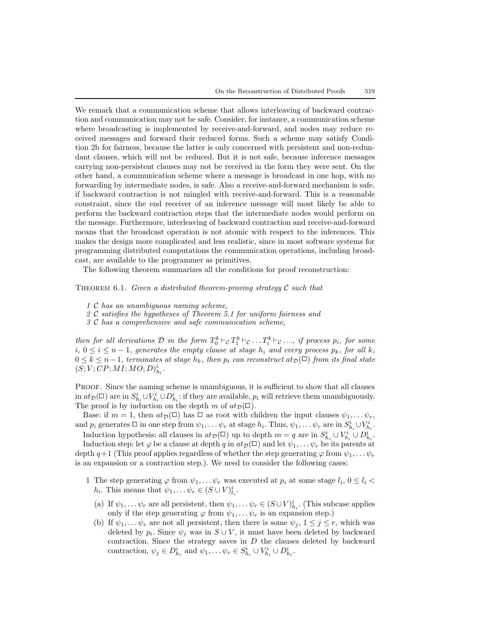We remark that a communication scheme that allows interleaving of backward contraction and communication may not be safe. Consider, for instance, a communication scheme where broadcasting is implemented by receive-and-forward, and nodes may reduce received messages and forward their reduced forms. Such a scheme may satisfy Condition 2b for fairness, because the latter is only concerned with persistent and non-redundant clauses, which will not be reduced. But it is not safe, because inference messages carrying non-persistent clauses may not be received in the form they were sent. On the other hand, a communication scheme where a message is broadcast in one hop, with no forwarding by intermediate nodes, is safe. Also a receive-and-forward mechanism is safe, if backward contraction is not mingled with receive-and-forward. This is a reasonable constraint, since the end receiver of an inference message will most likely be able to perform the backward contraction steps that the intermediate nodes would perform on the message. Furthermore, interleaving of backward contraction and receive-and-forward means that the broadcast operation is not atomic with respect to the inferences. This makes the design more complicated and less realistic, since in most software systems for programming distributed computations the communication operations, including broadcast, are available to the programmer as primitives.

The following theorem summarizes all the conditions for proof reconstruction:

THEOREM 6.1. Given a distributed theorem-proving strategy  $\mathcal C$  such that

- 1 C has an unambiguous naming scheme,
- 2 C satisfies the hypotheses of Theorem 5.1 for uniform fairness and
- 3 C has a comprehensive and safe communication scheme,

then for all derivations D in the form  $T_0^k \vdash_{\mathcal{C}} T_1^k \vdash_{\mathcal{C}} \ldots T_i^k \vdash_{\mathcal{C}} \ldots$ , if process  $p_i$ , for some i,  $0 \le i \le n-1$ , generates the empty clause at stage  $h_i$  and every process  $p_k$ , for all k,  $0 \leq k \leq n-1$ , terminates at stage  $h_k$ , then  $p_i$  can reconstruct  $at_{\mathcal{D}}(\Box)$  from its final state  $(S;V;CP;MI;MO;D)^i_{h_i}.$ 

PROOF. Since the naming scheme is unambiguous, it is sufficient to show that all clauses in  $at_{\mathcal{D}}(\Box)$  are in  $S^i_{h_i} \cup V^i_{h_i} \cup D^i_{h_i}$ : if they are available,  $p_i$  will retrieve them unambiguously. The proof is by induction on the depth m of  $at_{\mathcal{D}}(\square)$ .

Base: if  $m = 1$ , then  $at_{\mathcal{D}}(\square)$  has  $\square$  as root with children the input clauses  $\psi_1, \ldots \psi_r$ , and  $p_i$  generates  $\Box$  in one step from  $\psi_1, \ldots \psi_r$  at stage  $h_i$ . Thus,  $\psi_1, \ldots \psi_r$  are in  $S^i_{h_i} \cup V^i_{h_i}$ .

Induction hypothesis: all clauses in  $at_{\mathcal{D}}(\square)$  up to depth  $m = q$  are in  $S^i_{h_i} \cup V^i_{h_i} \cup D^i_{h_i}$ . Induction step: let  $\varphi$  be a clause at depth  $q$  in  $at_{\mathcal{D}}(\Box)$  and let  $\psi_1,\ldots\psi_r$  be its parents at

depth  $q+1$  (This proof applies regardless of whether the step generating  $\varphi$  from  $\psi_1, \ldots, \psi_r$ is an expansion or a contraction step.). We need to consider the following cases:

- 1 The step generating  $\varphi$  from  $\psi_1, \dots \psi_r$  was executed at  $p_i$  at some stage  $l_i, 0 \leq l_i$  $h_i$ . This means that  $\psi_1, \dots \psi_r \in (S \cup V)_{l_i}^i$ .
	- (a) If  $\psi_1, \dots \psi_r$  are all persistent, then  $\psi_1, \dots \psi_r \in (S \cup V)_{h_i}^i$ . (This subcase applies only if the step generating  $\varphi$  from  $\psi_1, \dots \psi_r$  is an expansion step.)
	- (b) If  $\psi_1, \ldots, \psi_r$  are not all persistent, then there is some  $\psi_j$ ,  $1 \leq j \leq r$ , which was deleted by  $p_i$ . Since  $\psi_j$  was in  $S \cup V$ , it must have been deleted by backward contraction. Since the strategy saves in  $D$  the clauses deleted by backward contraction,  $\psi_j \in D_{h_i}^i$  and  $\psi_1, \dots \psi_r \in S_{h_i}^i \cup V_{h_i}^i \cup D_{h_i}^i$ .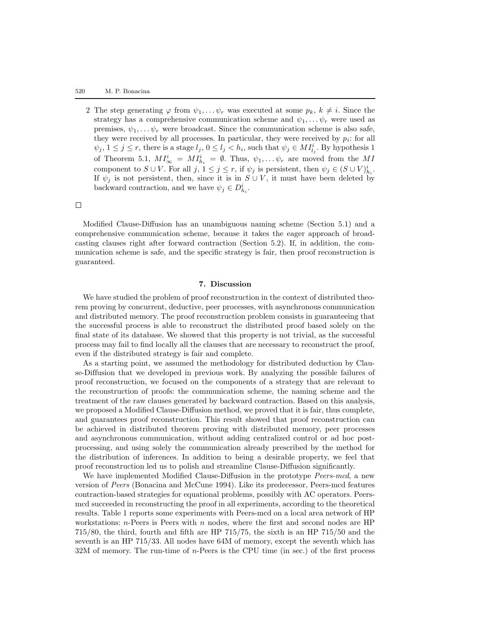2 The step generating  $\varphi$  from  $\psi_1, \ldots \psi_r$  was executed at some  $p_k, k \neq i$ . Since the strategy has a comprehensive communication scheme and  $\psi_1, \ldots \psi_r$  were used as premises,  $\psi_1, \ldots, \psi_r$  were broadcast. Since the communication scheme is also safe, they were received by all processes. In particular, they were received by  $p_i$ : for all  $\psi_j, 1 \leq j \leq r$ , there is a stage  $l_j, 0 \leq l_j < h_i$ , such that  $\psi_j \in MI_{l_j}^i$ . By hypothesis 1 of Theorem 5.1,  $MI^i_{\infty} = MI^i_{h_i} = \emptyset$ . Thus,  $\psi_1, \ldots \psi_r$  are moved from the MI component to  $S \cup V$ . For all  $j, 1 \leq j \leq r$ , if  $\psi_j$  is persistent, then  $\psi_j \in (S \cup V)_{h_i}^i$ . If  $\psi_j$  is not persistent, then, since it is in  $S \cup V$ , it must have been deleted by backward contraction, and we have  $\psi_j \in D^i_{h_i}$ .

 $\Box$ 

Modified Clause-Diffusion has an unambiguous naming scheme (Section 5.1) and a comprehensive communication scheme, because it takes the eager approach of broadcasting clauses right after forward contraction (Section 5.2). If, in addition, the communication scheme is safe, and the specific strategy is fair, then proof reconstruction is guaranteed.

# 7. Discussion

We have studied the problem of proof reconstruction in the context of distributed theorem proving by concurrent, deductive, peer processes, with asynchronous communication and distributed memory. The proof reconstruction problem consists in guaranteeing that the successful process is able to reconstruct the distributed proof based solely on the final state of its database. We showed that this property is not trivial, as the successful process may fail to find locally all the clauses that are necessary to reconstruct the proof, even if the distributed strategy is fair and complete.

As a starting point, we assumed the methodology for distributed deduction by Clause-Diffusion that we developed in previous work. By analyzing the possible failures of proof reconstruction, we focused on the components of a strategy that are relevant to the reconstruction of proofs: the communication scheme, the naming scheme and the treatment of the raw clauses generated by backward contraction. Based on this analysis, we proposed a Modified Clause-Diffusion method, we proved that it is fair, thus complete, and guarantees proof reconstruction. This result showed that proof reconstruction can be achieved in distributed theorem proving with distributed memory, peer processes and asynchronous communication, without adding centralized control or ad hoc postprocessing, and using solely the communication already prescribed by the method for the distribution of inferences. In addition to being a desirable property, we feel that proof reconstruction led us to polish and streamline Clause-Diffusion significantly.

We have implemented Modified Clause-Diffusion in the prototype *Peers-mcd*, a new version of Peers (Bonacina and McCune 1994). Like its predecessor, Peers-mcd features contraction-based strategies for equational problems, possibly with AC operators. Peersmcd succeeded in reconstructing the proof in all experiments, according to the theoretical results. Table 1 reports some experiments with Peers-mcd on a local area network of HP workstations:  $n$ -Peers is Peers with  $n$  nodes, where the first and second nodes are HP 715/80, the third, fourth and fifth are HP 715/75, the sixth is an HP 715/50 and the seventh is an HP 715/33. All nodes have 64M of memory, except the seventh which has 32M of memory. The run-time of n-Peers is the CPU time (in sec.) of the first process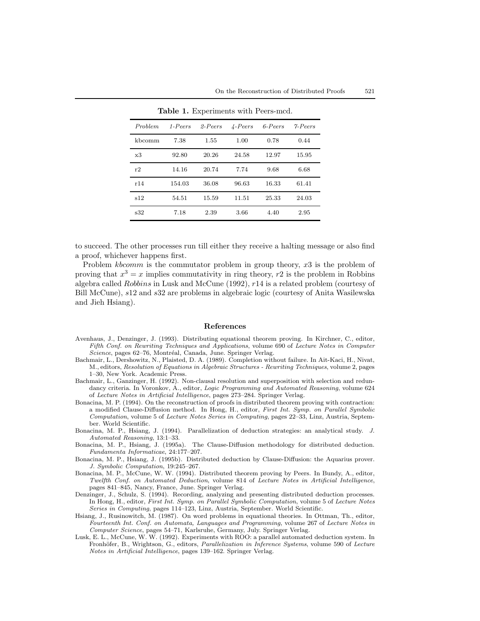| Problem | $1-Peers$ | $2-Peers$ | $\angle$ -Peers | $6$ -Peers | $7-Peers$ |
|---------|-----------|-----------|-----------------|------------|-----------|
| kbcomm  | 7.38      | 1.55      | 1.00            | 0.78       | 0.44      |
| x3      | 92.80     | 20.26     | 24.58           | 12.97      | 15.95     |
| r2      | 14.16     | 20.74     | 7.74            | 9.68       | 6.68      |
| r14     | 154.03    | 36.08     | 96.63           | 16.33      | 61.41     |
| s12     | 54.51     | 15.59     | 11.51           | 25.33      | 24.03     |
| s32     | 7.18      | 2.39      | 3.66            | 4.40       | 2.95      |

Table 1. Experiments with Peers-mcd.

to succeed. The other processes run till either they receive a halting message or also find a proof, whichever happens first.

Problem kbcomm is the commutator problem in group theory, x3 is the problem of proving that  $x^3 = x$  implies commutativity in ring theory, r2 is the problem in Robbins algebra called Robbins in Lusk and McCune  $(1992)$ ,  $r14$  is a related problem (courtesy of Bill McCune), s12 and s32 are problems in algebraic logic (courtesy of Anita Wasilewska and Jieh Hsiang).

#### References

- Avenhaus, J., Denzinger, J. (1993). Distributing equational theorem proving. In Kirchner, C., editor, Fifth Conf. on Rewriting Techniques and Applications, volume 690 of Lecture Notes in Computer Science, pages 62-76, Montréal, Canada, June. Springer Verlag.
- Bachmair, L., Dershowitz, N., Plaisted, D. A. (1989). Completion without failure. In Ait-Kaci, H., Nivat, M., editors, Resolution of Equations in Algebraic Structures - Rewriting Techniques, volume 2, pages 1–30, New York. Academic Press.
- Bachmair, L., Ganzinger, H. (1992). Non-clausal resolution and superposition with selection and redundancy criteria. In Voronkov, A., editor, Logic Programming and Automated Reasoning, volume 624 of Lecture Notes in Artificial Intelligence, pages 273–284. Springer Verlag.
- Bonacina, M. P. (1994). On the reconstruction of proofs in distributed theorem proving with contraction: a modified Clause-Diffusion method. In Hong, H., editor, First Int. Symp. on Parallel Symbolic Computation, volume 5 of Lecture Notes Series in Computing, pages 22–33, Linz, Austria, September. World Scientific.
- Bonacina, M. P., Hsiang, J. (1994). Parallelization of deduction strategies: an analytical study. J. Automated Reasoning, 13:1–33.
- Bonacina, M. P., Hsiang, J. (1995a). The Clause-Diffusion methodology for distributed deduction. Fundamenta Informaticae, 24:177–207.
- Bonacina, M. P., Hsiang, J. (1995b). Distributed deduction by Clause-Diffusion: the Aquarius prover. J. Symbolic Computation, 19:245–267.
- Bonacina, M. P., McCune, W. W. (1994). Distributed theorem proving by Peers. In Bundy, A., editor, Twelfth Conf. on Automated Deduction, volume 814 of Lecture Notes in Artificial Intelligence, pages 841–845, Nancy, France, June. Springer Verlag.
- Denzinger, J., Schulz, S. (1994). Recording, analyzing and presenting distributed deduction processes. In Hong, H., editor, First Int. Symp. on Parallel Symbolic Computation, volume 5 of Lecture Notes Series in Computing, pages 114–123, Linz, Austria, September. World Scientific.
- Hsiang, J., Rusinowitch, M. (1987). On word problems in equational theories. In Ottman, Th., editor, Fourteenth Int. Conf. on Automata, Languages and Programming, volume 267 of Lecture Notes in Computer Science, pages 54–71, Karlsruhe, Germany, July. Springer Verlag.
- Lusk, E. L., McCune, W. W. (1992). Experiments with ROO: a parallel automated deduction system. In Fronhöfer, B., Wrightson, G., editors, Parallelization in Inference Systems, volume 590 of Lecture Notes in Artificial Intelligence, pages 139–162. Springer Verlag.